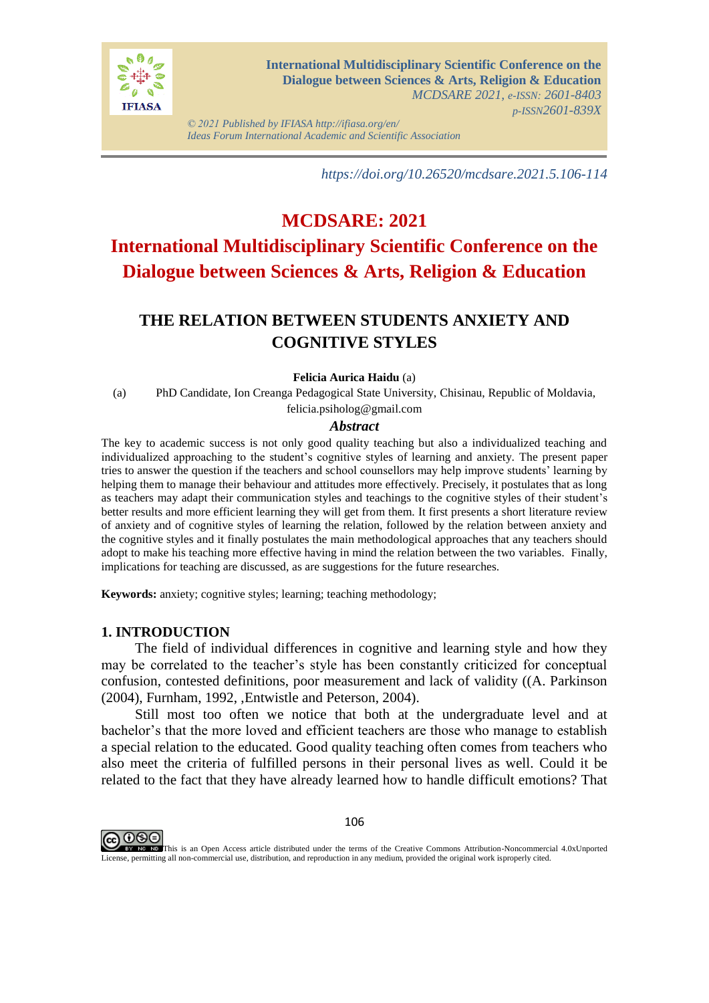

*© 2021 Published by IFIASA http://ifiasa.org/en/ Ideas Forum International Academic and Scientific Association*

*https://doi.org/10.26520/mcdsare.2021.5.106-114*

# **MCDSARE: 2021 International Multidisciplinary Scientific Conference on the Dialogue between Sciences & Arts, Religion & Education**

## **THE RELATION BETWEEN STUDENTS ANXIETY AND COGNITIVE STYLES**

#### **Felicia Aurica Haidu** (a)

(a) PhD Candidate, Ion Creanga Pedagogical State University, Chisinau, Republic of Moldavia, felicia.psiholog@gmail.com

#### *Abstract*

The key to academic success is not only good quality teaching but also a individualized teaching and individualized approaching to the student's cognitive styles of learning and anxiety. The present paper tries to answer the question if the teachers and school counsellors may help improve students' learning by helping them to manage their behaviour and attitudes more effectively. Precisely, it postulates that as long as teachers may adapt their communication styles and teachings to the cognitive styles of their student's better results and more efficient learning they will get from them. It first presents a short literature review of anxiety and of cognitive styles of learning the relation, followed by the relation between anxiety and the cognitive styles and it finally postulates the main methodological approaches that any teachers should adopt to make his teaching more effective having in mind the relation between the two variables. Finally, implications for teaching are discussed, as are suggestions for the future researches.

**Keywords:** anxiety; cognitive styles; learning; teaching methodology;

#### **1. INTRODUCTION**

The field of individual differences in cognitive and learning style and how they may be correlated to the teacher's style has been constantly criticized for conceptual confusion, contested definitions, poor measurement and lack of validity ((A. Parkinson (2004), Furnham, 1992, ,Entwistle and Peterson, 2004).

Still most too often we notice that both at the undergraduate level and at bachelor's that the more loved and efficient teachers are those who manage to establish a special relation to the educated. Good quality teaching often comes from teachers who also meet the criteria of fulfilled persons in their personal lives as well. Could it be related to the fact that they have already learned how to handle difficult emotions? That



This is an Open Access article distributed under the terms of the Creative Commons Attribution-Noncommercial 4.0xUnported License, permitting all non-commercial use, distribution, and reproduction in any medium, provided the original work isproperly cited.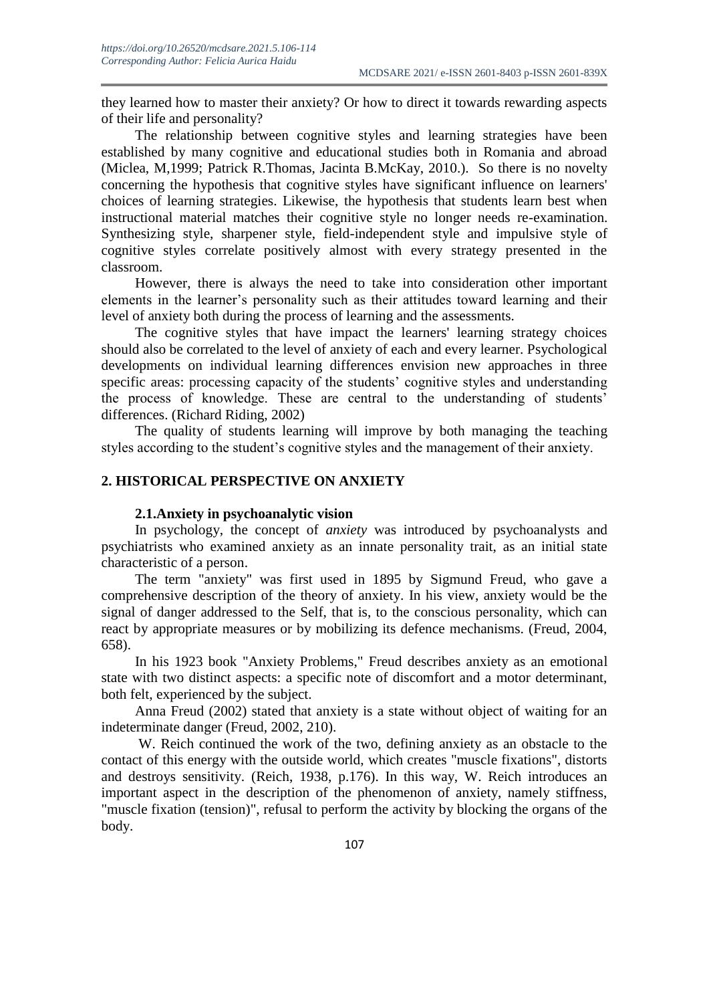they learned how to master their anxiety? Or how to direct it towards rewarding aspects of their life and personality?

The relationship between cognitive styles and learning strategies have been established by many cognitive and educational studies both in Romania and abroad (Miclea, M,1999; Patrick R.Thomas, Jacinta B.McKay, 2010.). So there is no novelty concerning the hypothesis that cognitive styles have significant influence on learners' choices of learning strategies. Likewise, the hypothesis that students learn best when instructional material matches their cognitive style no longer needs re-examination. Synthesizing style, sharpener style, field-independent style and impulsive style of cognitive styles correlate positively almost with every strategy presented in the classroom.

However, there is always the need to take into consideration other important elements in the learner's personality such as their attitudes toward learning and their level of anxiety both during the process of learning and the assessments.

The cognitive styles that have impact the learners' learning strategy choices should also be correlated to the level of anxiety of each and every learner. Psychological developments on individual learning differences envision new approaches in three specific areas: processing capacity of the students' cognitive styles and understanding the process of knowledge. These are central to the understanding of students' differences. (Richard Riding, 2002)

The quality of students learning will improve by both managing the teaching styles according to the student's cognitive styles and the management of their anxiety.

## **2. HISTORICAL PERSPECTIVE ON ANXIETY**

#### **2.1.Anxiety in psychoanalytic vision**

In psychology, the concept of *anxiety* was introduced by psychoanalysts and psychiatrists who examined anxiety as an innate personality trait, as an initial state characteristic of a person.

The term "anxiety" was first used in 1895 by Sigmund Freud, who gave a comprehensive description of the theory of anxiety. In his view, anxiety would be the signal of danger addressed to the Self, that is, to the conscious personality, which can react by appropriate measures or by mobilizing its defence mechanisms. (Freud, 2004, 658).

In his 1923 book "Anxiety Problems," Freud describes anxiety as an emotional state with two distinct aspects: a specific note of discomfort and a motor determinant, both felt, experienced by the subject.

Anna Freud (2002) stated that anxiety is a state without object of waiting for an indeterminate danger (Freud, 2002, 210).

W. Reich continued the work of the two, defining anxiety as an obstacle to the contact of this energy with the outside world, which creates "muscle fixations", distorts and destroys sensitivity. (Reich, 1938, p.176). In this way, W. Reich introduces an important aspect in the description of the phenomenon of anxiety, namely stiffness, "muscle fixation (tension)", refusal to perform the activity by blocking the organs of the body.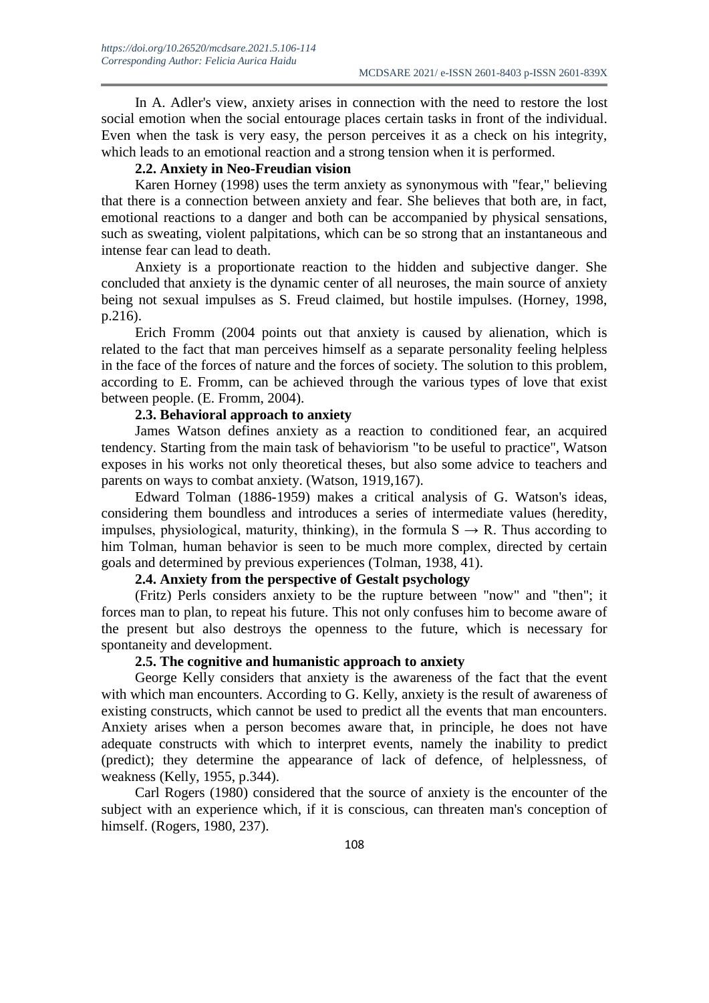In A. Adler's view, anxiety arises in connection with the need to restore the lost social emotion when the social entourage places certain tasks in front of the individual. Even when the task is very easy, the person perceives it as a check on his integrity, which leads to an emotional reaction and a strong tension when it is performed.

#### **2.2. Anxiety in Neo-Freudian vision**

Karen Horney (1998) uses the term anxiety as synonymous with "fear," believing that there is a connection between anxiety and fear. She believes that both are, in fact, emotional reactions to a danger and both can be accompanied by physical sensations, such as sweating, violent palpitations, which can be so strong that an instantaneous and intense fear can lead to death.

Anxiety is a proportionate reaction to the hidden and subjective danger. She concluded that anxiety is the dynamic center of all neuroses, the main source of anxiety being not sexual impulses as S. Freud claimed, but hostile impulses. (Horney, 1998, p.216).

Erich Fromm (2004 points out that anxiety is caused by alienation, which is related to the fact that man perceives himself as a separate personality feeling helpless in the face of the forces of nature and the forces of society. The solution to this problem, according to E. Fromm, can be achieved through the various types of love that exist between people. (E. Fromm, 2004).

#### **2.3. Behavioral approach to anxiety**

James Watson defines anxiety as a reaction to conditioned fear, an acquired tendency. Starting from the main task of behaviorism "to be useful to practice", Watson exposes in his works not only theoretical theses, but also some advice to teachers and parents on ways to combat anxiety. (Watson, 1919,167).

Edward Tolman (1886-1959) makes a critical analysis of G. Watson's ideas, considering them boundless and introduces a series of intermediate values (heredity, impulses, physiological, maturity, thinking), in the formula  $S \rightarrow R$ . Thus according to him Tolman, human behavior is seen to be much more complex, directed by certain goals and determined by previous experiences (Tolman, 1938, 41).

## **2.4. Anxiety from the perspective of Gestalt psychology**

(Fritz) Perls considers anxiety to be the rupture between "now" and "then"; it forces man to plan, to repeat his future. This not only confuses him to become aware of the present but also destroys the openness to the future, which is necessary for spontaneity and development.

#### **2.5. The cognitive and humanistic approach to anxiety**

George Kelly considers that anxiety is the awareness of the fact that the event with which man encounters. According to G. Kelly, anxiety is the result of awareness of existing constructs, which cannot be used to predict all the events that man encounters. Anxiety arises when a person becomes aware that, in principle, he does not have adequate constructs with which to interpret events, namely the inability to predict (predict); they determine the appearance of lack of defence, of helplessness, of weakness (Kelly, 1955, p.344).

Carl Rogers (1980) considered that the source of anxiety is the encounter of the subject with an experience which, if it is conscious, can threaten man's conception of himself. (Rogers, 1980, 237).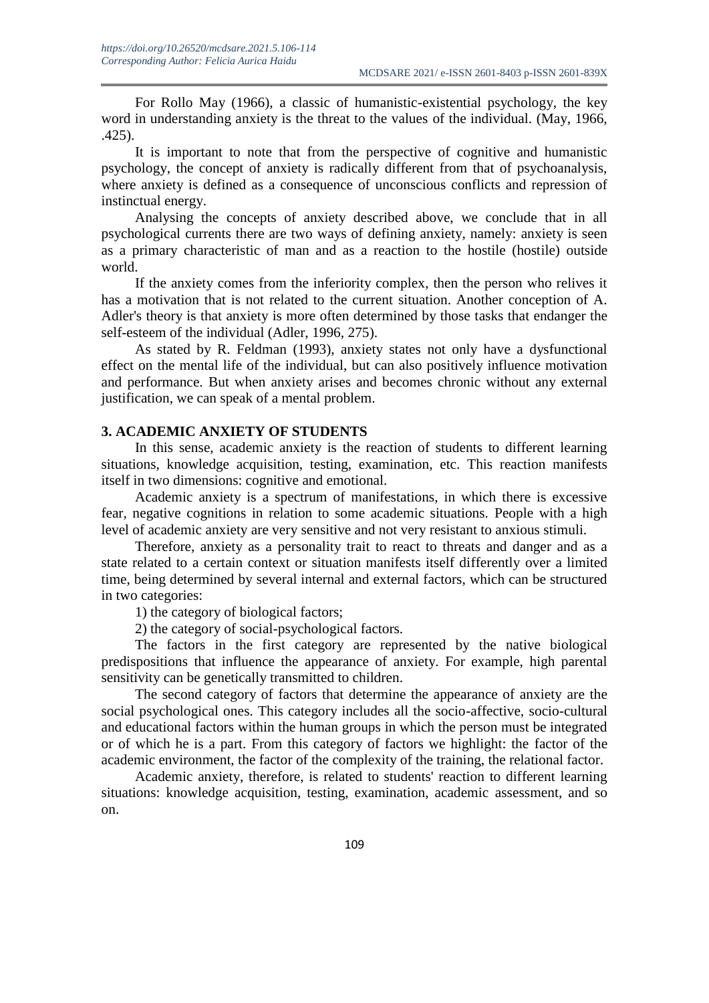For Rollo May (1966), a classic of humanistic-existential psychology, the key word in understanding anxiety is the threat to the values of the individual. (May, 1966, .425).

It is important to note that from the perspective of cognitive and humanistic psychology, the concept of anxiety is radically different from that of psychoanalysis, where anxiety is defined as a consequence of unconscious conflicts and repression of instinctual energy.

Analysing the concepts of anxiety described above, we conclude that in all psychological currents there are two ways of defining anxiety, namely: anxiety is seen as a primary characteristic of man and as a reaction to the hostile (hostile) outside world.

If the anxiety comes from the inferiority complex, then the person who relives it has a motivation that is not related to the current situation. Another conception of A. Adler's theory is that anxiety is more often determined by those tasks that endanger the self-esteem of the individual (Adler, 1996, 275).

As stated by R. Feldman (1993), anxiety states not only have a dysfunctional effect on the mental life of the individual, but can also positively influence motivation and performance. But when anxiety arises and becomes chronic without any external justification, we can speak of a mental problem.

### **3. ACADEMIC ANXIETY OF STUDENTS**

In this sense, academic anxiety is the reaction of students to different learning situations, knowledge acquisition, testing, examination, etc. This reaction manifests itself in two dimensions: cognitive and emotional.

Academic anxiety is a spectrum of manifestations, in which there is excessive fear, negative cognitions in relation to some academic situations. People with a high level of academic anxiety are very sensitive and not very resistant to anxious stimuli.

Therefore, anxiety as a personality trait to react to threats and danger and as a state related to a certain context or situation manifests itself differently over a limited time, being determined by several internal and external factors, which can be structured in two categories:

1) the category of biological factors;

2) the category of social-psychological factors.

The factors in the first category are represented by the native biological predispositions that influence the appearance of anxiety. For example, high parental sensitivity can be genetically transmitted to children.

The second category of factors that determine the appearance of anxiety are the social psychological ones. This category includes all the socio-affective, socio-cultural and educational factors within the human groups in which the person must be integrated or of which he is a part. From this category of factors we highlight: the factor of the academic environment, the factor of the complexity of the training, the relational factor.

Academic anxiety, therefore, is related to students' reaction to different learning situations: knowledge acquisition, testing, examination, academic assessment, and so on.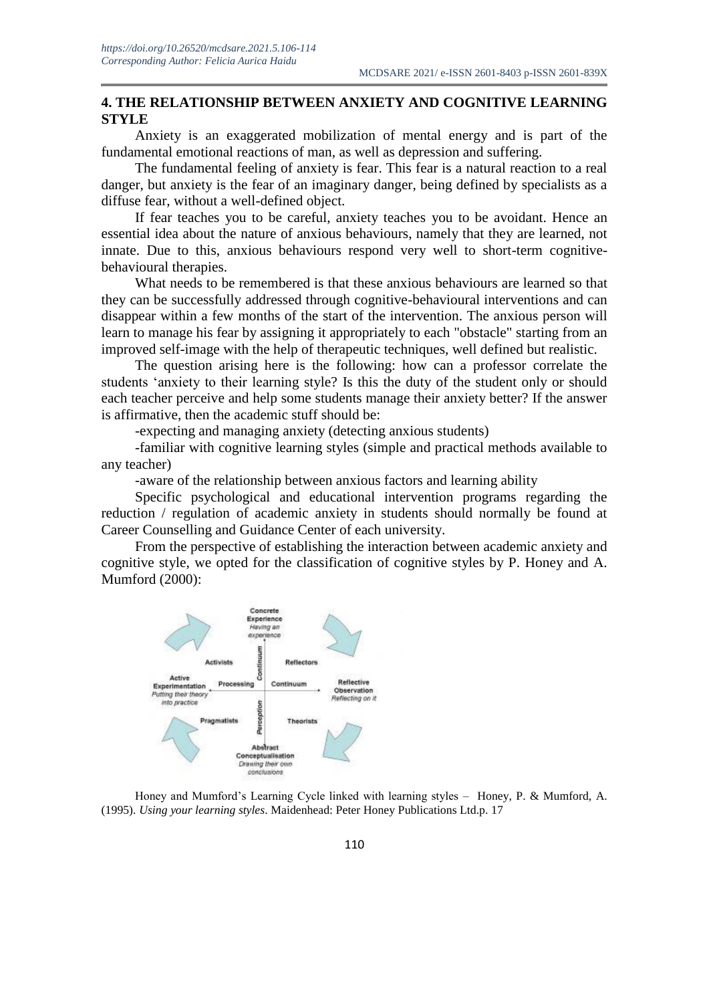## **4. THE RELATIONSHIP BETWEEN ANXIETY AND COGNITIVE LEARNING STYLE**

Anxiety is an exaggerated mobilization of mental energy and is part of the fundamental emotional reactions of man, as well as depression and suffering.

The fundamental feeling of anxiety is fear. This fear is a natural reaction to a real danger, but anxiety is the fear of an imaginary danger, being defined by specialists as a diffuse fear, without a well-defined object.

If fear teaches you to be careful, anxiety teaches you to be avoidant. Hence an essential idea about the nature of anxious behaviours, namely that they are learned, not innate. Due to this, anxious behaviours respond very well to short-term cognitivebehavioural therapies.

What needs to be remembered is that these anxious behaviours are learned so that they can be successfully addressed through cognitive-behavioural interventions and can disappear within a few months of the start of the intervention. The anxious person will learn to manage his fear by assigning it appropriately to each "obstacle" starting from an improved self-image with the help of therapeutic techniques, well defined but realistic.

The question arising here is the following: how can a professor correlate the students 'anxiety to their learning style? Is this the duty of the student only or should each teacher perceive and help some students manage their anxiety better? If the answer is affirmative, then the academic stuff should be:

-expecting and managing anxiety (detecting anxious students)

-familiar with cognitive learning styles (simple and practical methods available to any teacher)

-aware of the relationship between anxious factors and learning ability

Specific psychological and educational intervention programs regarding the reduction / regulation of academic anxiety in students should normally be found at Career Counselling and Guidance Center of each university.

From the perspective of establishing the interaction between academic anxiety and cognitive style, we opted for the classification of cognitive styles by P. Honey and A. Mumford (2000):



Honey and Mumford's Learning Cycle linked with learning styles – Honey, P. & Mumford, A. (1995). *Using your learning styles*. Maidenhead: Peter Honey Publications Ltd.p. 17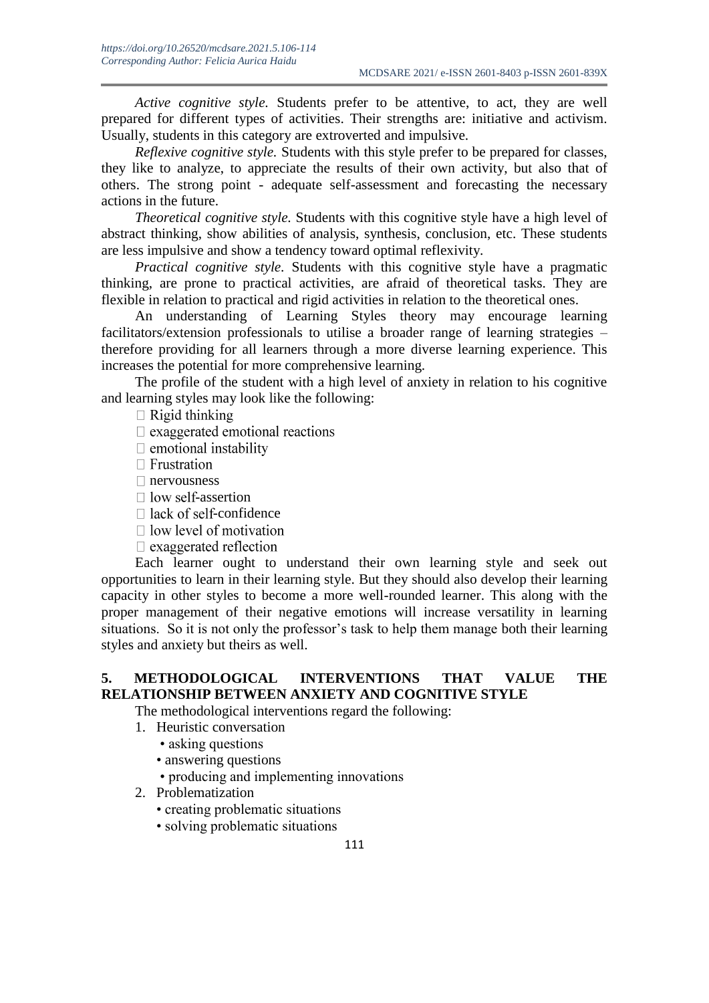*Active cognitive style.* Students prefer to be attentive, to act, they are well prepared for different types of activities. Their strengths are: initiative and activism. Usually, students in this category are extroverted and impulsive.

*Reflexive cognitive style.* Students with this style prefer to be prepared for classes, they like to analyze, to appreciate the results of their own activity, but also that of others. The strong point - adequate self-assessment and forecasting the necessary actions in the future.

*Theoretical cognitive style.* Students with this cognitive style have a high level of abstract thinking, show abilities of analysis, synthesis, conclusion, etc. These students are less impulsive and show a tendency toward optimal reflexivity.

*Practical cognitive style.* Students with this cognitive style have a pragmatic thinking, are prone to practical activities, are afraid of theoretical tasks. They are flexible in relation to practical and rigid activities in relation to the theoretical ones.

An understanding of Learning Styles theory may encourage learning facilitators/extension professionals to utilise a broader range of learning strategies – therefore providing for all learners through a more diverse learning experience. This increases the potential for more comprehensive learning.

The profile of the student with a high level of anxiety in relation to his cognitive and learning styles may look like the following:

 $\Box$  Rigid thinking

 $\Box$  exaggerated emotional reactions

- $\Box$  emotional instability
- $\Box$  Frustration
- nervousness
- $\Box$  low self-assertion
- $\Box$  lack of self-confidence
- $\Box$  low level of motivation
- $\Box$  exaggerated reflection

Each learner ought to understand their own learning style and seek out opportunities to learn in their learning style. But they should also develop their learning capacity in other styles to become a more well-rounded learner. This along with the proper management of their negative emotions will increase versatility in learning situations. So it is not only the professor's task to help them manage both their learning styles and anxiety but theirs as well.

## **5. METHODOLOGICAL INTERVENTIONS THAT VALUE THE RELATIONSHIP BETWEEN ANXIETY AND COGNITIVE STYLE**

The methodological interventions regard the following:

- 1. Heuristic conversation
	- asking questions
	- answering questions
	- producing and implementing innovations
- 2. Problematization
	- creating problematic situations
	- solving problematic situations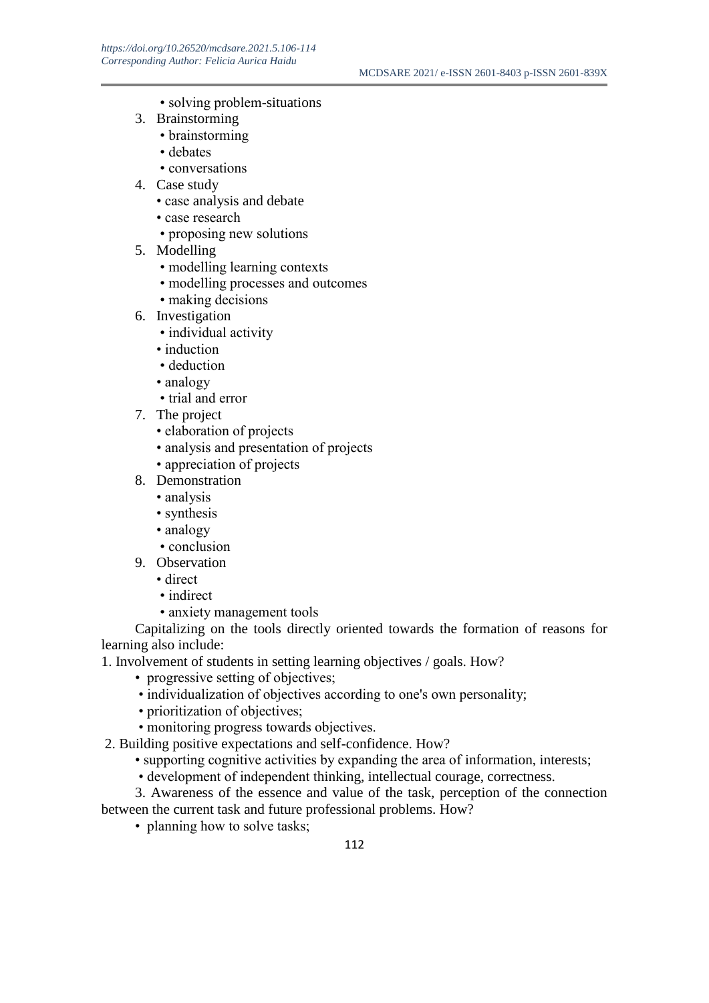- solving problem-situations
- 3. Brainstorming
	- brainstorming
	- debates
	- conversations
- 4. Case study
	- case analysis and debate
	- case research
	- proposing new solutions
- 5. Modelling
	- modelling learning contexts
	- modelling processes and outcomes
	- making decisions
- 6. Investigation
	- individual activity
	- induction
	- deduction
	- analogy
	- trial and error
- 7. The project
	- elaboration of projects
	- analysis and presentation of projects
	- appreciation of projects
- 8. Demonstration
	- analysis
	- synthesis
	- analogy
	- conclusion
- 9. Observation
	- direct
	- indirect
	- anxiety management tools

Capitalizing on the tools directly oriented towards the formation of reasons for learning also include:

- 1. Involvement of students in setting learning objectives / goals. How?
	- progressive setting of objectives;
	- individualization of objectives according to one's own personality;
	- prioritization of objectives;
	- monitoring progress towards objectives.
- 2. Building positive expectations and self-confidence. How?
	- supporting cognitive activities by expanding the area of information, interests;
	- development of independent thinking, intellectual courage, correctness.

3. Awareness of the essence and value of the task, perception of the connection between the current task and future professional problems. How?

• planning how to solve tasks;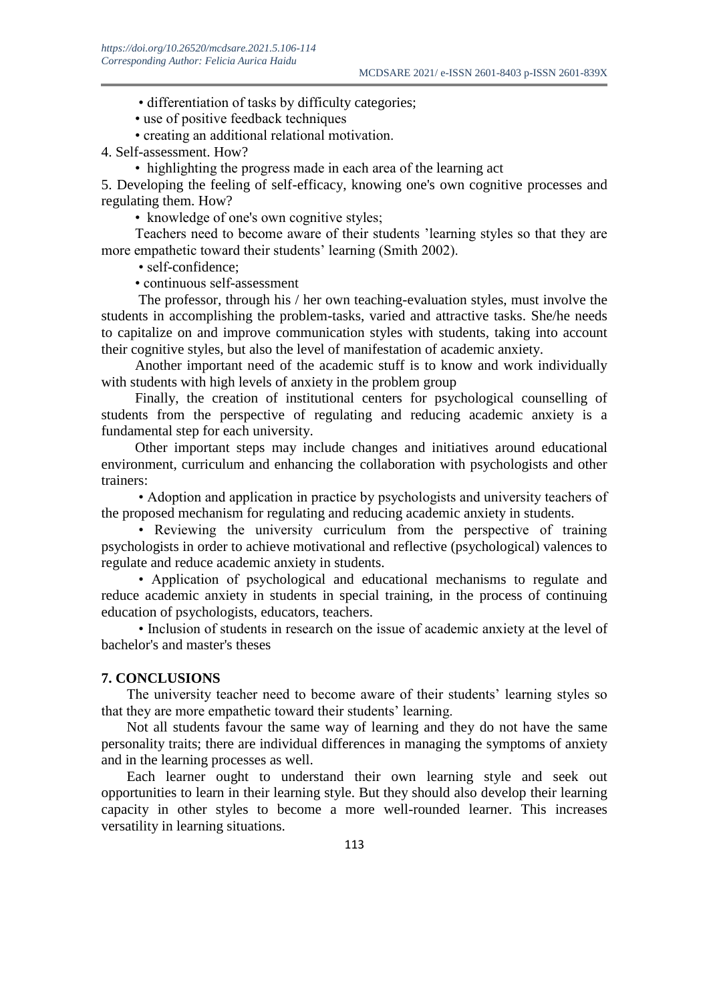• differentiation of tasks by difficulty categories;

• use of positive feedback techniques

• creating an additional relational motivation.

4. Self-assessment. How?

• highlighting the progress made in each area of the learning act

5. Developing the feeling of self-efficacy, knowing one's own cognitive processes and regulating them. How?

• knowledge of one's own cognitive styles;

Teachers need to become aware of their students 'learning styles so that they are more empathetic toward their students' learning (Smith 2002).

• self-confidence:

• continuous self-assessment

The professor, through his / her own teaching-evaluation styles, must involve the students in accomplishing the problem-tasks, varied and attractive tasks. She/he needs to capitalize on and improve communication styles with students, taking into account their cognitive styles, but also the level of manifestation of academic anxiety.

Another important need of the academic stuff is to know and work individually with students with high levels of anxiety in the problem group

Finally, the creation of institutional centers for psychological counselling of students from the perspective of regulating and reducing academic anxiety is a fundamental step for each university.

Other important steps may include changes and initiatives around educational environment, curriculum and enhancing the collaboration with psychologists and other trainers:

• Adoption and application in practice by psychologists and university teachers of the proposed mechanism for regulating and reducing academic anxiety in students.

• Reviewing the university curriculum from the perspective of training psychologists in order to achieve motivational and reflective (psychological) valences to regulate and reduce academic anxiety in students.

• Application of psychological and educational mechanisms to regulate and reduce academic anxiety in students in special training, in the process of continuing education of psychologists, educators, teachers.

• Inclusion of students in research on the issue of academic anxiety at the level of bachelor's and master's theses

#### **7. CONCLUSIONS**

The university teacher need to become aware of their students' learning styles so that they are more empathetic toward their students' learning.

Not all students favour the same way of learning and they do not have the same personality traits; there are individual differences in managing the symptoms of anxiety and in the learning processes as well.

Each learner ought to understand their own learning style and seek out opportunities to learn in their learning style. But they should also develop their learning capacity in other styles to become a more well-rounded learner. This increases versatility in learning situations.